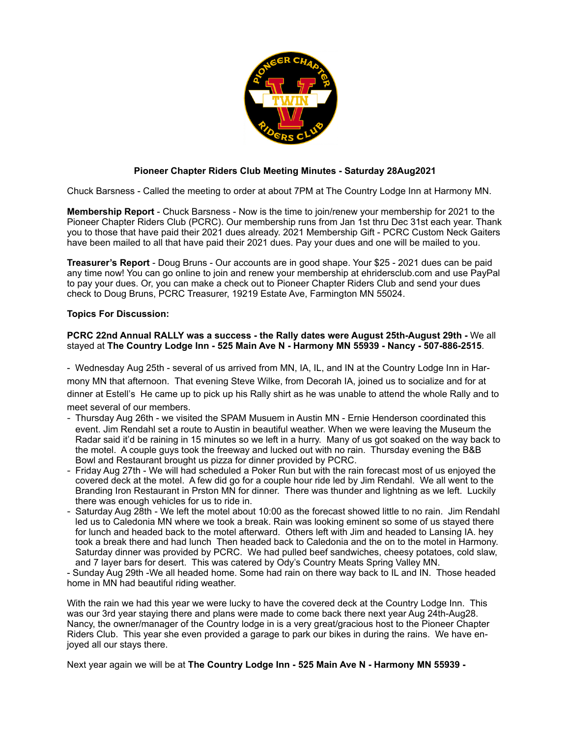

## **Pioneer Chapter Riders Club Meeting Minutes - Saturday 28Aug2021**

Chuck Barsness - Called the meeting to order at about 7PM at The Country Lodge Inn at Harmony MN.

**Membership Report** - Chuck Barsness - Now is the time to join/renew your membership for 2021 to the Pioneer Chapter Riders Club (PCRC). Our membership runs from Jan 1st thru Dec 31st each year. Thank you to those that have paid their 2021 dues already. 2021 Membership Gift - PCRC Custom Neck Gaiters have been mailed to all that have paid their 2021 dues. Pay your dues and one will be mailed to you.

**Treasurer's Report** - Doug Bruns - Our accounts are in good shape. Your \$25 - 2021 dues can be paid any time now! You can go online to join and renew your membership at ehridersclub.com and use PayPal to pay your dues. Or, you can make a check out to Pioneer Chapter Riders Club and send your dues check to Doug Bruns, PCRC Treasurer, 19219 Estate Ave, Farmington MN 55024.

## **Topics For Discussion:**

## **PCRC 22nd Annual RALLY was a success - the Rally dates were August 25th-August 29th -** We all stayed at **The Country Lodge Inn - 525 Main Ave N - Harmony MN 55939 - Nancy - 507-886-2515**.

- Wednesday Aug 25th - several of us arrived from MN, IA, IL, and IN at the Country Lodge Inn in Harmony MN that afternoon. That evening Steve Wilke, from Decorah IA, joined us to socialize and for at dinner at Estell's He came up to pick up his Rally shirt as he was unable to attend the whole Rally and to meet several of our members.

- Thursday Aug 26th we visited the SPAM Musuem in Austin MN Ernie Henderson coordinated this event. Jim Rendahl set a route to Austin in beautiful weather. When we were leaving the Museum the Radar said it'd be raining in 15 minutes so we left in a hurry. Many of us got soaked on the way back to the motel. A couple guys took the freeway and lucked out with no rain. Thursday evening the B&B Bowl and Restaurant brought us pizza for dinner provided by PCRC.
- Friday Aug 27th We will had scheduled a Poker Run but with the rain forecast most of us enjoyed the covered deck at the motel. A few did go for a couple hour ride led by Jim Rendahl. We all went to the Branding Iron Restaurant in Prston MN for dinner. There was thunder and lightning as we left. Luckily there was enough vehicles for us to ride in.
- Saturday Aug 28th We left the motel about 10:00 as the forecast showed little to no rain. Jim Rendahl led us to Caledonia MN where we took a break. Rain was looking eminent so some of us stayed there for lunch and headed back to the motel afterward. Others left with Jim and headed to Lansing IA. hey took a break there and had lunch Then headed back to Caledonia and the on to the motel in Harmony. Saturday dinner was provided by PCRC. We had pulled beef sandwiches, cheesy potatoes, cold slaw, and 7 layer bars for desert. This was catered by Ody's Country Meats Spring Valley MN.

- Sunday Aug 29th -We all headed home. Some had rain on there way back to IL and IN. Those headed home in MN had beautiful riding weather.

With the rain we had this year we were lucky to have the covered deck at the Country Lodge Inn. This was our 3rd year staying there and plans were made to come back there next year Aug 24th-Aug28. Nancy, the owner/manager of the Country lodge in is a very great/gracious host to the Pioneer Chapter Riders Club. This year she even provided a garage to park our bikes in during the rains. We have enjoyed all our stays there.

Next year again we will be at **The Country Lodge Inn - 525 Main Ave N - Harmony MN 55939 -**